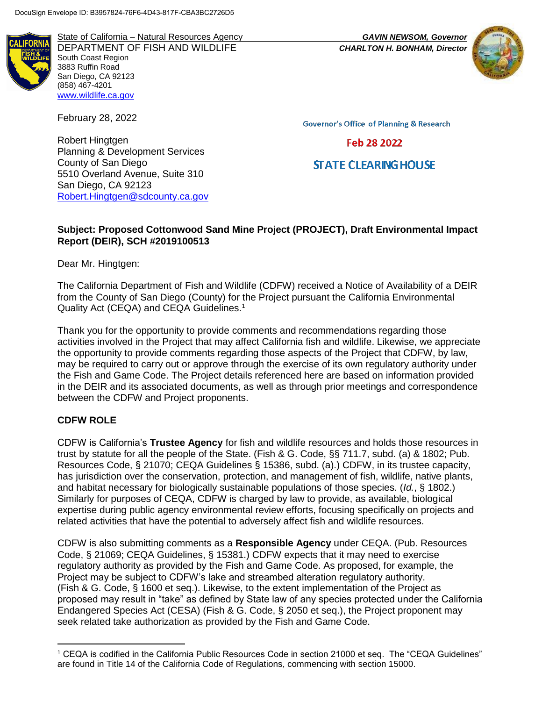Planning & Development Services

5510 Overland Avenue, Suite 310

[Robert.Hingtgen@sdcounty.ca.gov](mailto:Robert.Hingtgen@sdcounty.ca.gov)

State of California – Natural Resources Agency *GAVIN NEWSOM, Governor* DEPARTMENT OF FISH AND WILDLIFE *CHARLTON H. BONHAM, Director*  South Coast Region 3883 Ruffin Road San Diego, CA 92123 (858) 467-4201 [www.wildlife.ca.gov](http://www.wildlife.ca.gov/)

February 28, 2022

Robert Hingtgen

County of San Diego

San Diego, CA 92123

**Governor's Office of Planning & Research** 

### Feb 28 2022

# **STATE CLEARING HOUSE**

### **Subject: Proposed Cottonwood Sand Mine Project (PROJECT), Draft Environmental Impact Report (DEIR), SCH #2019100513**

Dear Mr. Hingtgen:

The California Department of Fish and Wildlife (CDFW) received a Notice of Availability of a DEIR from the County of San Diego (County) for the Project pursuant the California Environmental Quality Act (CEQA) and CEQA Guidelines.<sup>1</sup>

Thank you for the opportunity to provide comments and recommendations regarding those activities involved in the Project that may affect California fish and wildlife. Likewise, we appreciate the opportunity to provide comments regarding those aspects of the Project that CDFW, by law, may be required to carry out or approve through the exercise of its own regulatory authority under the Fish and Game Code. The Project details referenced here are based on information provided in the DEIR and its associated documents, as well as through prior meetings and correspondence between the CDFW and Project proponents.

### **CDFW ROLE**

l

CDFW is California's **Trustee Agency** for fish and wildlife resources and holds those resources in trust by statute for all the people of the State. (Fish & G. Code, §§ 711.7, subd. (a) & 1802; Pub. Resources Code, § 21070; CEQA Guidelines § 15386, subd. (a).) CDFW, in its trustee capacity, has jurisdiction over the conservation, protection, and management of fish, wildlife, native plants, and habitat necessary for biologically sustainable populations of those species. (*Id.*, § 1802.) Similarly for purposes of CEQA, CDFW is charged by law to provide, as available, biological expertise during public agency environmental review efforts, focusing specifically on projects and related activities that have the potential to adversely affect fish and wildlife resources.

CDFW is also submitting comments as a **Responsible Agency** under CEQA. (Pub. Resources Code, § 21069; CEQA Guidelines, § 15381.) CDFW expects that it may need to exercise regulatory authority as provided by the Fish and Game Code. As proposed, for example, the Project may be subject to CDFW's lake and streambed alteration regulatory authority. (Fish & G. Code, § 1600 et seq.). Likewise, to the extent implementation of the Project as proposed may result in "take" as defined by State law of any species protected under the California Endangered Species Act (CESA) (Fish & G. Code, § 2050 et seq.), the Project proponent may seek related take authorization as provided by the Fish and Game Code.

<sup>1</sup> CEQA is codified in the California Public Resources Code in section 21000 et seq. The "CEQA Guidelines" are found in Title 14 of the California Code of Regulations, commencing with section 15000.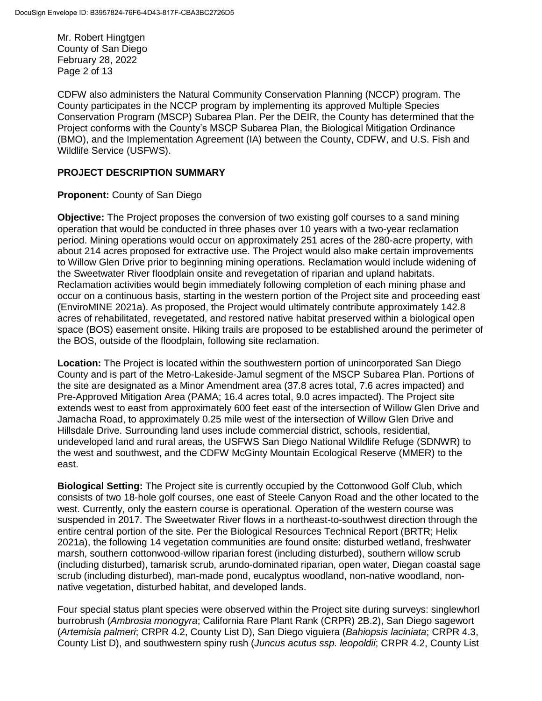Mr. Robert Hingtgen County of San Diego February 28, 2022 Page 2 of 13

CDFW also administers the Natural Community Conservation Planning (NCCP) program. The County participates in the NCCP program by implementing its approved Multiple Species Conservation Program (MSCP) Subarea Plan. Per the DEIR, the County has determined that the Project conforms with the County's MSCP Subarea Plan, the Biological Mitigation Ordinance (BMO), and the Implementation Agreement (IA) between the County, CDFW, and U.S. Fish and Wildlife Service (USFWS).

### **PROJECT DESCRIPTION SUMMARY**

### **Proponent:** County of San Diego

**Objective:** The Project proposes the conversion of two existing golf courses to a sand mining operation that would be conducted in three phases over 10 years with a two-year reclamation period. Mining operations would occur on approximately 251 acres of the 280-acre property, with about 214 acres proposed for extractive use. The Project would also make certain improvements to Willow Glen Drive prior to beginning mining operations. Reclamation would include widening of the Sweetwater River floodplain onsite and revegetation of riparian and upland habitats. Reclamation activities would begin immediately following completion of each mining phase and occur on a continuous basis, starting in the western portion of the Project site and proceeding east (EnviroMINE 2021a). As proposed, the Project would ultimately contribute approximately 142.8 acres of rehabilitated, revegetated, and restored native habitat preserved within a biological open space (BOS) easement onsite. Hiking trails are proposed to be established around the perimeter of the BOS, outside of the floodplain, following site reclamation.

**Location:** The Project is located within the southwestern portion of unincorporated San Diego County and is part of the Metro-Lakeside-Jamul segment of the MSCP Subarea Plan. Portions of the site are designated as a Minor Amendment area (37.8 acres total, 7.6 acres impacted) and Pre-Approved Mitigation Area (PAMA; 16.4 acres total, 9.0 acres impacted). The Project site extends west to east from approximately 600 feet east of the intersection of Willow Glen Drive and Jamacha Road, to approximately 0.25 mile west of the intersection of Willow Glen Drive and Hillsdale Drive. Surrounding land uses include commercial district, schools, residential, undeveloped land and rural areas, the USFWS San Diego National Wildlife Refuge (SDNWR) to the west and southwest, and the CDFW McGinty Mountain Ecological Reserve (MMER) to the east.

**Biological Setting:** The Project site is currently occupied by the Cottonwood Golf Club, which consists of two 18-hole golf courses, one east of Steele Canyon Road and the other located to the west. Currently, only the eastern course is operational. Operation of the western course was suspended in 2017. The Sweetwater River flows in a northeast-to-southwest direction through the entire central portion of the site. Per the Biological Resources Technical Report (BRTR; Helix 2021a), the following 14 vegetation communities are found onsite: disturbed wetland, freshwater marsh, southern cottonwood-willow riparian forest (including disturbed), southern willow scrub (including disturbed), tamarisk scrub, arundo-dominated riparian, open water, Diegan coastal sage scrub (including disturbed), man-made pond, eucalyptus woodland, non-native woodland, nonnative vegetation, disturbed habitat, and developed lands.

Four special status plant species were observed within the Project site during surveys: singlewhorl burrobrush (*Ambrosia monogyra*; California Rare Plant Rank (CRPR) 2B.2), San Diego sagewort (*Artemisia palmeri*; CRPR 4.2, County List D), San Diego viguiera (*Bahiopsis laciniata*; CRPR 4.3, County List D), and southwestern spiny rush (*Juncus acutus ssp. leopoldii*; CRPR 4.2, County List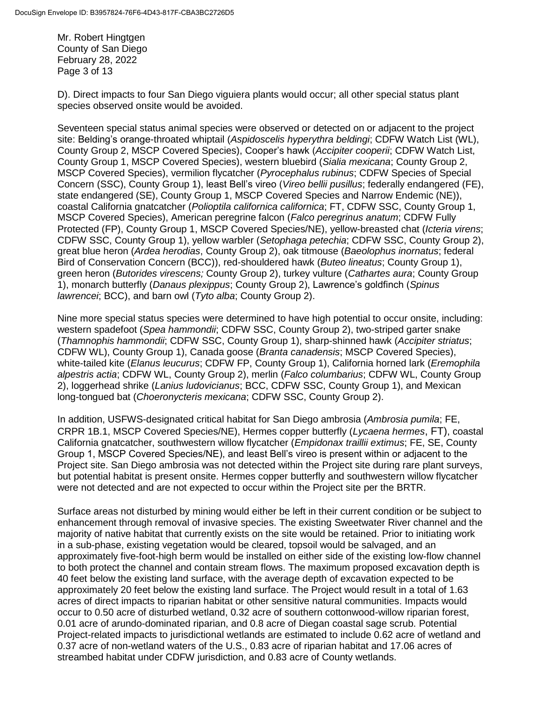Mr. Robert Hingtgen County of San Diego February 28, 2022 Page 3 of 13

D). Direct impacts to four San Diego viguiera plants would occur; all other special status plant species observed onsite would be avoided.

Seventeen special status animal species were observed or detected on or adjacent to the project site: Belding's orange-throated whiptail (*Aspidoscelis hyperythra beldingi*; CDFW Watch List (WL), County Group 2, MSCP Covered Species), Cooper's hawk (*Accipiter cooperii*; CDFW Watch List, County Group 1, MSCP Covered Species), western bluebird (*Sialia mexicana*; County Group 2, MSCP Covered Species), vermilion flycatcher (*Pyrocephalus rubinus*; CDFW Species of Special Concern (SSC), County Group 1), least Bell's vireo (*Vireo bellii pusillus*; federally endangered (FE), state endangered (SE), County Group 1, MSCP Covered Species and Narrow Endemic (NE)), coastal California gnatcatcher (*Polioptila californica californica*; FT, CDFW SSC, County Group 1, MSCP Covered Species), American peregrine falcon (*Falco peregrinus anatum*; CDFW Fully Protected (FP), County Group 1, MSCP Covered Species/NE), yellow-breasted chat (*Icteria virens*; CDFW SSC, County Group 1), yellow warbler (*Setophaga petechia*; CDFW SSC, County Group 2), great blue heron (*Ardea herodias*, County Group 2), oak titmouse (*Baeolophus inornatus*; federal Bird of Conservation Concern (BCC)), red-shouldered hawk (*Buteo lineatus*; County Group 1), green heron (*Butorides virescens;* County Group 2), turkey vulture (*Cathartes aura*; County Group 1), monarch butterfly (*Danaus plexippus*; County Group 2), Lawrence's goldfinch (*Spinus lawrencei*; BCC), and barn owl (*Tyto alba*; County Group 2).

Nine more special status species were determined to have high potential to occur onsite, including: western spadefoot (*Spea hammondii*; CDFW SSC, County Group 2), two-striped garter snake (*Thamnophis hammondii*; CDFW SSC, County Group 1), sharp-shinned hawk (*Accipiter striatus*; CDFW WL), County Group 1), Canada goose (*Branta canadensis*; MSCP Covered Species), white-tailed kite (*Elanus leucurus*; CDFW FP, County Group 1), California horned lark (*Eremophila alpestris actia*; CDFW WL, County Group 2), merlin (*Falco columbarius*; CDFW WL, County Group 2), loggerhead shrike (*Lanius ludovicianus*; BCC, CDFW SSC, County Group 1), and Mexican long-tongued bat (*Choeronycteris mexicana*; CDFW SSC, County Group 2).

In addition, USFWS-designated critical habitat for San Diego ambrosia (*Ambrosia pumila*; FE, CRPR 1B.1, MSCP Covered Species/NE), Hermes copper butterfly (*Lycaena hermes*, FT), coastal California gnatcatcher, southwestern willow flycatcher (*Empidonax traillii extimus*; FE, SE, County Group 1, MSCP Covered Species/NE), and least Bell's vireo is present within or adjacent to the Project site. San Diego ambrosia was not detected within the Project site during rare plant surveys, but potential habitat is present onsite. Hermes copper butterfly and southwestern willow flycatcher were not detected and are not expected to occur within the Project site per the BRTR.

Surface areas not disturbed by mining would either be left in their current condition or be subject to enhancement through removal of invasive species. The existing Sweetwater River channel and the majority of native habitat that currently exists on the site would be retained. Prior to initiating work in a sub-phase, existing vegetation would be cleared, topsoil would be salvaged, and an approximately five-foot-high berm would be installed on either side of the existing low-flow channel to both protect the channel and contain stream flows. The maximum proposed excavation depth is 40 feet below the existing land surface, with the average depth of excavation expected to be approximately 20 feet below the existing land surface. The Project would result in a total of 1.63 acres of direct impacts to riparian habitat or other sensitive natural communities. Impacts would occur to 0.50 acre of disturbed wetland, 0.32 acre of southern cottonwood-willow riparian forest, 0.01 acre of arundo-dominated riparian, and 0.8 acre of Diegan coastal sage scrub. Potential Project-related impacts to jurisdictional wetlands are estimated to include 0.62 acre of wetland and 0.37 acre of non-wetland waters of the U.S., 0.83 acre of riparian habitat and 17.06 acres of streambed habitat under CDFW jurisdiction, and 0.83 acre of County wetlands.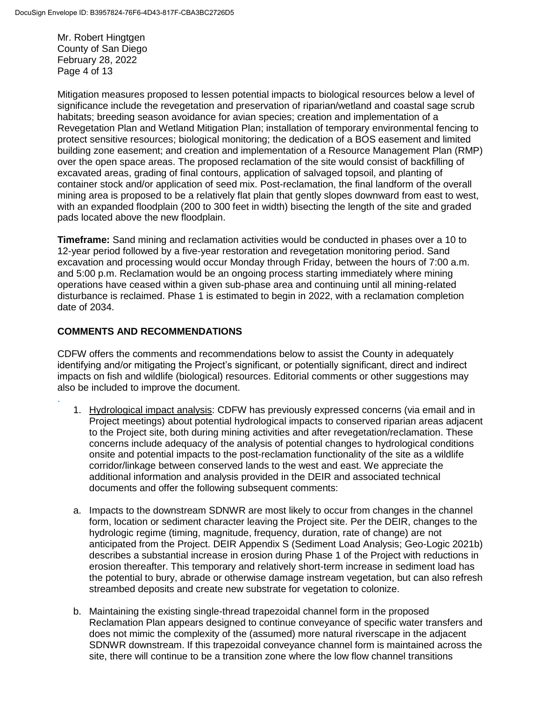Mr. Robert Hingtgen County of San Diego February 28, 2022 Page 4 of 13

Mitigation measures proposed to lessen potential impacts to biological resources below a level of significance include the revegetation and preservation of riparian/wetland and coastal sage scrub habitats; breeding season avoidance for avian species; creation and implementation of a Revegetation Plan and Wetland Mitigation Plan; installation of temporary environmental fencing to protect sensitive resources; biological monitoring; the dedication of a BOS easement and limited building zone easement; and creation and implementation of a Resource Management Plan (RMP) over the open space areas. The proposed reclamation of the site would consist of backfilling of excavated areas, grading of final contours, application of salvaged topsoil, and planting of container stock and/or application of seed mix. Post-reclamation, the final landform of the overall mining area is proposed to be a relatively flat plain that gently slopes downward from east to west, with an expanded floodplain (200 to 300 feet in width) bisecting the length of the site and graded pads located above the new floodplain.

**Timeframe:** Sand mining and reclamation activities would be conducted in phases over a 10 to 12-year period followed by a five-year restoration and revegetation monitoring period. Sand excavation and processing would occur Monday through Friday, between the hours of 7:00 a.m. and 5:00 p.m. Reclamation would be an ongoing process starting immediately where mining operations have ceased within a given sub-phase area and continuing until all mining-related disturbance is reclaimed. Phase 1 is estimated to begin in 2022, with a reclamation completion date of 2034.

# **COMMENTS AND RECOMMENDATIONS**

.

CDFW offers the comments and recommendations below to assist the County in adequately identifying and/or mitigating the Project's significant, or potentially significant, direct and indirect impacts on fish and wildlife (biological) resources. Editorial comments or other suggestions may also be included to improve the document.

- 1. Hydrological impact analysis: CDFW has previously expressed concerns (via email and in Project meetings) about potential hydrological impacts to conserved riparian areas adjacent to the Project site, both during mining activities and after revegetation/reclamation. These concerns include adequacy of the analysis of potential changes to hydrological conditions onsite and potential impacts to the post-reclamation functionality of the site as a wildlife corridor/linkage between conserved lands to the west and east. We appreciate the additional information and analysis provided in the DEIR and associated technical documents and offer the following subsequent comments:
- a. Impacts to the downstream SDNWR are most likely to occur from changes in the channel form, location or sediment character leaving the Project site. Per the DEIR, changes to the hydrologic regime (timing, magnitude, frequency, duration, rate of change) are not anticipated from the Project. DEIR Appendix S (Sediment Load Analysis; Geo-Logic 2021b) describes a substantial increase in erosion during Phase 1 of the Project with reductions in erosion thereafter. This temporary and relatively short-term increase in sediment load has the potential to bury, abrade or otherwise damage instream vegetation, but can also refresh streambed deposits and create new substrate for vegetation to colonize.
- b. Maintaining the existing single-thread trapezoidal channel form in the proposed Reclamation Plan appears designed to continue conveyance of specific water transfers and does not mimic the complexity of the (assumed) more natural riverscape in the adjacent SDNWR downstream. If this trapezoidal conveyance channel form is maintained across the site, there will continue to be a transition zone where the low flow channel transitions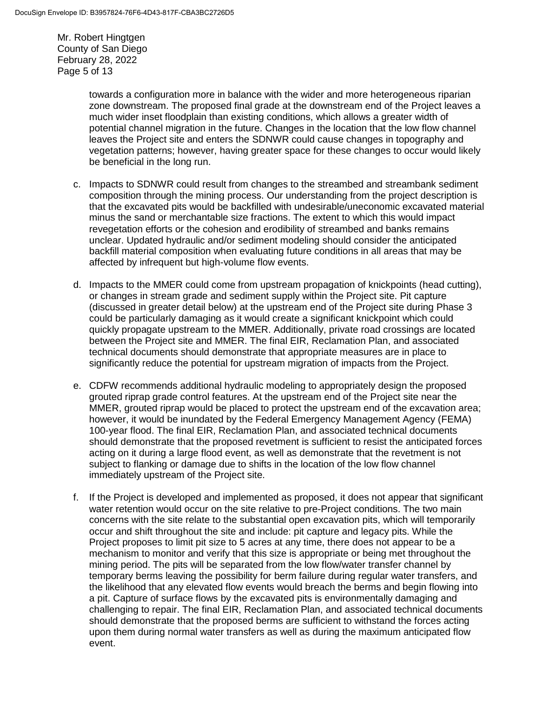Mr. Robert Hingtgen County of San Diego February 28, 2022 Page 5 of 13

> towards a configuration more in balance with the wider and more heterogeneous riparian zone downstream. The proposed final grade at the downstream end of the Project leaves a much wider inset floodplain than existing conditions, which allows a greater width of potential channel migration in the future. Changes in the location that the low flow channel leaves the Project site and enters the SDNWR could cause changes in topography and vegetation patterns; however, having greater space for these changes to occur would likely be beneficial in the long run.

- c. Impacts to SDNWR could result from changes to the streambed and streambank sediment composition through the mining process. Our understanding from the project description is that the excavated pits would be backfilled with undesirable/uneconomic excavated material minus the sand or merchantable size fractions. The extent to which this would impact revegetation efforts or the cohesion and erodibility of streambed and banks remains unclear. Updated hydraulic and/or sediment modeling should consider the anticipated backfill material composition when evaluating future conditions in all areas that may be affected by infrequent but high-volume flow events.
- d. Impacts to the MMER could come from upstream propagation of knickpoints (head cutting), or changes in stream grade and sediment supply within the Project site. Pit capture (discussed in greater detail below) at the upstream end of the Project site during Phase 3 could be particularly damaging as it would create a significant knickpoint which could quickly propagate upstream to the MMER. Additionally, private road crossings are located between the Project site and MMER. The final EIR, Reclamation Plan, and associated technical documents should demonstrate that appropriate measures are in place to significantly reduce the potential for upstream migration of impacts from the Project.
- e. CDFW recommends additional hydraulic modeling to appropriately design the proposed grouted riprap grade control features. At the upstream end of the Project site near the MMER, grouted riprap would be placed to protect the upstream end of the excavation area; however, it would be inundated by the Federal Emergency Management Agency (FEMA) 100-year flood. The final EIR, Reclamation Plan, and associated technical documents should demonstrate that the proposed revetment is sufficient to resist the anticipated forces acting on it during a large flood event, as well as demonstrate that the revetment is not subject to flanking or damage due to shifts in the location of the low flow channel immediately upstream of the Project site.
- f. If the Project is developed and implemented as proposed, it does not appear that significant water retention would occur on the site relative to pre-Project conditions. The two main concerns with the site relate to the substantial open excavation pits, which will temporarily occur and shift throughout the site and include: pit capture and legacy pits. While the Project proposes to limit pit size to 5 acres at any time, there does not appear to be a mechanism to monitor and verify that this size is appropriate or being met throughout the mining period. The pits will be separated from the low flow/water transfer channel by temporary berms leaving the possibility for berm failure during regular water transfers, and the likelihood that any elevated flow events would breach the berms and begin flowing into a pit. Capture of surface flows by the excavated pits is environmentally damaging and challenging to repair. The final EIR, Reclamation Plan, and associated technical documents should demonstrate that the proposed berms are sufficient to withstand the forces acting upon them during normal water transfers as well as during the maximum anticipated flow event.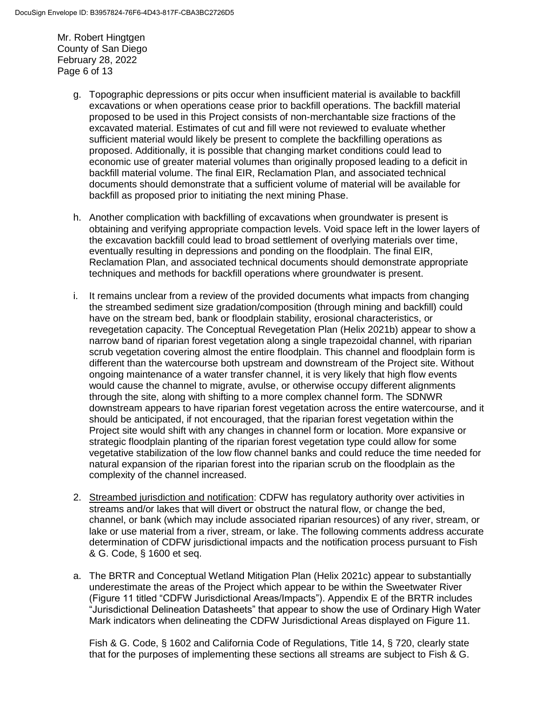Mr. Robert Hingtgen County of San Diego February 28, 2022 Page 6 of 13

- g. Topographic depressions or pits occur when insufficient material is available to backfill excavations or when operations cease prior to backfill operations. The backfill material proposed to be used in this Project consists of non-merchantable size fractions of the excavated material. Estimates of cut and fill were not reviewed to evaluate whether sufficient material would likely be present to complete the backfilling operations as proposed. Additionally, it is possible that changing market conditions could lead to economic use of greater material volumes than originally proposed leading to a deficit in backfill material volume. The final EIR, Reclamation Plan, and associated technical documents should demonstrate that a sufficient volume of material will be available for backfill as proposed prior to initiating the next mining Phase.
- h. Another complication with backfilling of excavations when groundwater is present is obtaining and verifying appropriate compaction levels. Void space left in the lower layers of the excavation backfill could lead to broad settlement of overlying materials over time, eventually resulting in depressions and ponding on the floodplain. The final EIR, Reclamation Plan, and associated technical documents should demonstrate appropriate techniques and methods for backfill operations where groundwater is present.
- i. It remains unclear from a review of the provided documents what impacts from changing the streambed sediment size gradation/composition (through mining and backfill) could have on the stream bed, bank or floodplain stability, erosional characteristics, or revegetation capacity. The Conceptual Revegetation Plan (Helix 2021b) appear to show a narrow band of riparian forest vegetation along a single trapezoidal channel, with riparian scrub vegetation covering almost the entire floodplain. This channel and floodplain form is different than the watercourse both upstream and downstream of the Project site. Without ongoing maintenance of a water transfer channel, it is very likely that high flow events would cause the channel to migrate, avulse, or otherwise occupy different alignments through the site, along with shifting to a more complex channel form. The SDNWR downstream appears to have riparian forest vegetation across the entire watercourse, and it should be anticipated, if not encouraged, that the riparian forest vegetation within the Project site would shift with any changes in channel form or location. More expansive or strategic floodplain planting of the riparian forest vegetation type could allow for some vegetative stabilization of the low flow channel banks and could reduce the time needed for natural expansion of the riparian forest into the riparian scrub on the floodplain as the complexity of the channel increased.
- 2. Streambed jurisdiction and notification: CDFW has regulatory authority over activities in streams and/or lakes that will divert or obstruct the natural flow, or change the bed, channel, or bank (which may include associated riparian resources) of any river, stream, or lake or use material from a river, stream, or lake. The following comments address accurate determination of CDFW jurisdictional impacts and the notification process pursuant to Fish & G. Code, § 1600 et seq.
- a. The BRTR and Conceptual Wetland Mitigation Plan (Helix 2021c) appear to substantially underestimate the areas of the Project which appear to be within the Sweetwater River (Figure 11 titled "CDFW Jurisdictional Areas/Impacts"). Appendix E of the BRTR includes "Jurisdictional Delineation Datasheets" that appear to show the use of Ordinary High Water Mark indicators when delineating the CDFW Jurisdictional Areas displayed on Figure 11.

Fish & G. Code, § 1602 and California Code of Regulations, Title 14, § 720, clearly state that for the purposes of implementing these sections all streams are subject to Fish & G.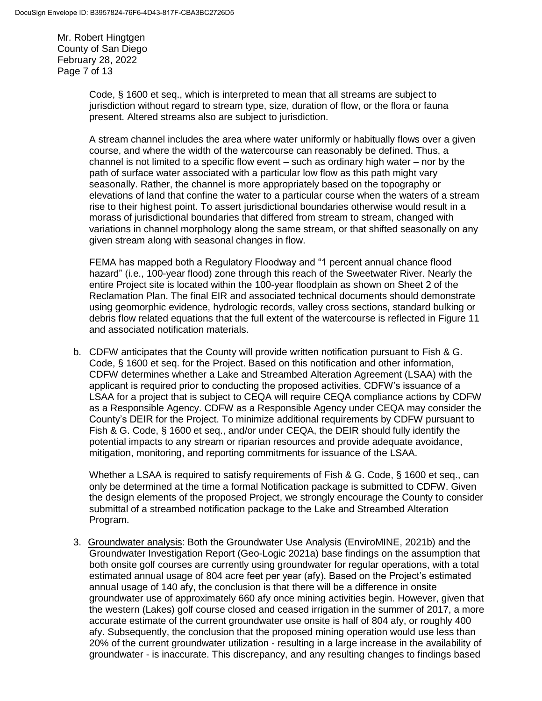Mr. Robert Hingtgen County of San Diego February 28, 2022 Page 7 of 13

> Code, § 1600 et seq., which is interpreted to mean that all streams are subject to jurisdiction without regard to stream type, size, duration of flow, or the flora or fauna present. Altered streams also are subject to jurisdiction.

A stream channel includes the area where water uniformly or habitually flows over a given course, and where the width of the watercourse can reasonably be defined. Thus, a channel is not limited to a specific flow event – such as ordinary high water – nor by the path of surface water associated with a particular low flow as this path might vary seasonally. Rather, the channel is more appropriately based on the topography or elevations of land that confine the water to a particular course when the waters of a stream rise to their highest point. To assert jurisdictional boundaries otherwise would result in a morass of jurisdictional boundaries that differed from stream to stream, changed with variations in channel morphology along the same stream, or that shifted seasonally on any given stream along with seasonal changes in flow.

FEMA has mapped both a Regulatory Floodway and "1 percent annual chance flood hazard" (i.e., 100-year flood) zone through this reach of the Sweetwater River. Nearly the entire Project site is located within the 100-year floodplain as shown on Sheet 2 of the Reclamation Plan. The final EIR and associated technical documents should demonstrate using geomorphic evidence, hydrologic records, valley cross sections, standard bulking or debris flow related equations that the full extent of the watercourse is reflected in Figure 11 and associated notification materials.

b. CDFW anticipates that the County will provide written notification pursuant to Fish & G. Code, § 1600 et seq. for the Project. Based on this notification and other information, CDFW determines whether a Lake and Streambed Alteration Agreement (LSAA) with the applicant is required prior to conducting the proposed activities. CDFW's issuance of a LSAA for a project that is subject to CEQA will require CEQA compliance actions by CDFW as a Responsible Agency. CDFW as a Responsible Agency under CEQA may consider the County's DEIR for the Project. To minimize additional requirements by CDFW pursuant to Fish & G. Code, § 1600 et seq., and/or under CEQA, the DEIR should fully identify the potential impacts to any stream or riparian resources and provide adequate avoidance, mitigation, monitoring, and reporting commitments for issuance of the LSAA.

Whether a LSAA is required to satisfy requirements of Fish & G. Code, § 1600 et seq., can only be determined at the time a formal Notification package is submitted to CDFW. Given the design elements of the proposed Project, we strongly encourage the County to consider submittal of a streambed notification package to the Lake and Streambed Alteration Program.

3. Groundwater analysis: Both the Groundwater Use Analysis (EnviroMINE, 2021b) and the Groundwater Investigation Report (Geo-Logic 2021a) base findings on the assumption that both onsite golf courses are currently using groundwater for regular operations, with a total estimated annual usage of 804 acre feet per year (afy). Based on the Project's estimated annual usage of 140 afy, the conclusion is that there will be a difference in onsite groundwater use of approximately 660 afy once mining activities begin. However, given that the western (Lakes) golf course closed and ceased irrigation in the summer of 2017, a more accurate estimate of the current groundwater use onsite is half of 804 afy, or roughly 400 afy. Subsequently, the conclusion that the proposed mining operation would use less than 20% of the current groundwater utilization - resulting in a large increase in the availability of groundwater - is inaccurate. This discrepancy, and any resulting changes to findings based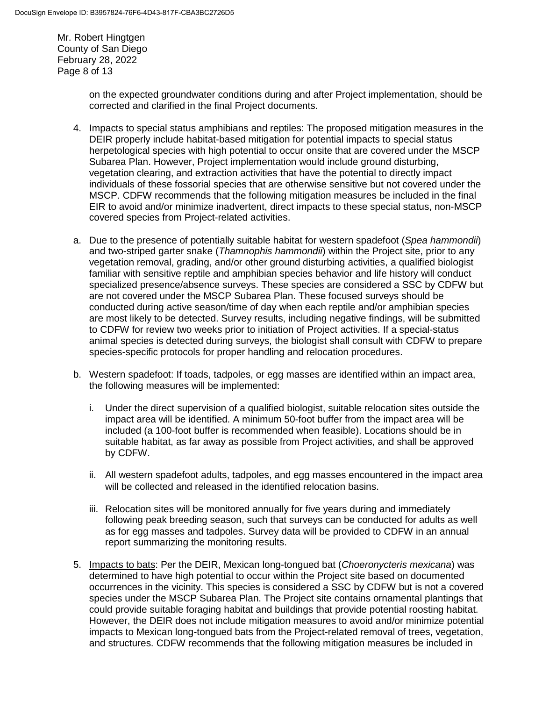Mr. Robert Hingtgen County of San Diego February 28, 2022 Page 8 of 13

> on the expected groundwater conditions during and after Project implementation, should be corrected and clarified in the final Project documents.

- 4. Impacts to special status amphibians and reptiles: The proposed mitigation measures in the DEIR properly include habitat-based mitigation for potential impacts to special status herpetological species with high potential to occur onsite that are covered under the MSCP Subarea Plan. However, Project implementation would include ground disturbing, vegetation clearing, and extraction activities that have the potential to directly impact individuals of these fossorial species that are otherwise sensitive but not covered under the MSCP. CDFW recommends that the following mitigation measures be included in the final EIR to avoid and/or minimize inadvertent, direct impacts to these special status, non-MSCP covered species from Project-related activities.
- a. Due to the presence of potentially suitable habitat for western spadefoot (*Spea hammondii*) and two-striped garter snake (*Thamnophis hammondii*) within the Project site, prior to any vegetation removal, grading, and/or other ground disturbing activities, a qualified biologist familiar with sensitive reptile and amphibian species behavior and life history will conduct specialized presence/absence surveys. These species are considered a SSC by CDFW but are not covered under the MSCP Subarea Plan. These focused surveys should be conducted during active season/time of day when each reptile and/or amphibian species are most likely to be detected. Survey results, including negative findings, will be submitted to CDFW for review two weeks prior to initiation of Project activities. If a special-status animal species is detected during surveys, the biologist shall consult with CDFW to prepare species-specific protocols for proper handling and relocation procedures.
- b. Western spadefoot: If toads, tadpoles, or egg masses are identified within an impact area, the following measures will be implemented:
	- i. Under the direct supervision of a qualified biologist, suitable relocation sites outside the impact area will be identified. A minimum 50-foot buffer from the impact area will be included (a 100-foot buffer is recommended when feasible). Locations should be in suitable habitat, as far away as possible from Project activities, and shall be approved by CDFW.
	- ii. All western spadefoot adults, tadpoles, and egg masses encountered in the impact area will be collected and released in the identified relocation basins.
	- iii. Relocation sites will be monitored annually for five years during and immediately following peak breeding season, such that surveys can be conducted for adults as well as for egg masses and tadpoles. Survey data will be provided to CDFW in an annual report summarizing the monitoring results.
- 5. Impacts to bats: Per the DEIR, Mexican long-tongued bat (*Choeronycteris mexicana*) was determined to have high potential to occur within the Project site based on documented occurrences in the vicinity. This species is considered a SSC by CDFW but is not a covered species under the MSCP Subarea Plan. The Project site contains ornamental plantings that could provide suitable foraging habitat and buildings that provide potential roosting habitat. However, the DEIR does not include mitigation measures to avoid and/or minimize potential impacts to Mexican long-tongued bats from the Project-related removal of trees, vegetation, and structures. CDFW recommends that the following mitigation measures be included in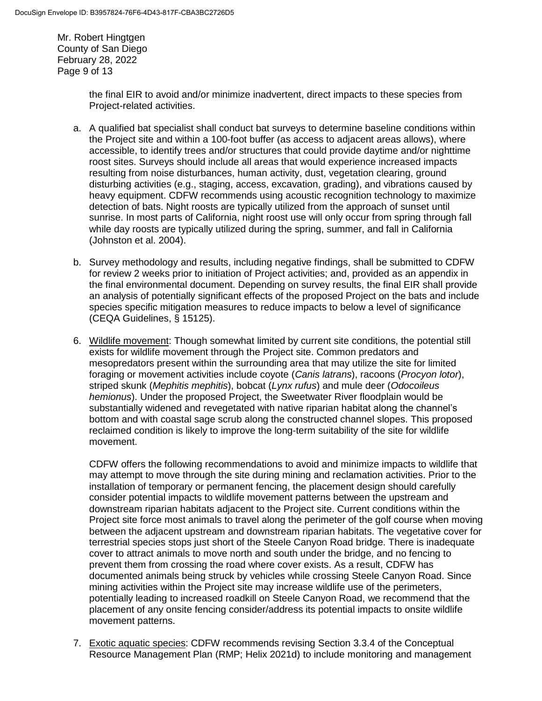Mr. Robert Hingtgen County of San Diego February 28, 2022 Page 9 of 13

> the final EIR to avoid and/or minimize inadvertent, direct impacts to these species from Project-related activities.

- a. A qualified bat specialist shall conduct bat surveys to determine baseline conditions within the Project site and within a 100-foot buffer (as access to adjacent areas allows), where accessible, to identify trees and/or structures that could provide daytime and/or nighttime roost sites. Surveys should include all areas that would experience increased impacts resulting from noise disturbances, human activity, dust, vegetation clearing, ground disturbing activities (e.g., staging, access, excavation, grading), and vibrations caused by heavy equipment. CDFW recommends using acoustic recognition technology to maximize detection of bats. Night roosts are typically utilized from the approach of sunset until sunrise. In most parts of California, night roost use will only occur from spring through fall while day roosts are typically utilized during the spring, summer, and fall in California (Johnston et al. 2004).
- b. Survey methodology and results, including negative findings, shall be submitted to CDFW for review 2 weeks prior to initiation of Project activities; and, provided as an appendix in the final environmental document. Depending on survey results, the final EIR shall provide an analysis of potentially significant effects of the proposed Project on the bats and include species specific mitigation measures to reduce impacts to below a level of significance (CEQA Guidelines, § 15125).
- 6. Wildlife movement: Though somewhat limited by current site conditions, the potential still exists for wildlife movement through the Project site. Common predators and mesopredators present within the surrounding area that may utilize the site for limited foraging or movement activities include coyote (*Canis latrans*), racoons (*Procyon lotor*), striped skunk (*Mephitis mephitis*), bobcat (*Lynx rufus*) and mule deer (*Odocoileus hemionus*). Under the proposed Project, the Sweetwater River floodplain would be substantially widened and revegetated with native riparian habitat along the channel's bottom and with coastal sage scrub along the constructed channel slopes. This proposed reclaimed condition is likely to improve the long-term suitability of the site for wildlife movement.

CDFW offers the following recommendations to avoid and minimize impacts to wildlife that may attempt to move through the site during mining and reclamation activities. Prior to the installation of temporary or permanent fencing, the placement design should carefully consider potential impacts to wildlife movement patterns between the upstream and downstream riparian habitats adjacent to the Project site. Current conditions within the Project site force most animals to travel along the perimeter of the golf course when moving between the adjacent upstream and downstream riparian habitats. The vegetative cover for terrestrial species stops just short of the Steele Canyon Road bridge. There is inadequate cover to attract animals to move north and south under the bridge, and no fencing to prevent them from crossing the road where cover exists. As a result, CDFW has documented animals being struck by vehicles while crossing Steele Canyon Road. Since mining activities within the Project site may increase wildlife use of the perimeters, potentially leading to increased roadkill on Steele Canyon Road, we recommend that the placement of any onsite fencing consider/address its potential impacts to onsite wildlife movement patterns.

7. Exotic aquatic species: CDFW recommends revising Section 3.3.4 of the Conceptual Resource Management Plan (RMP; Helix 2021d) to include monitoring and management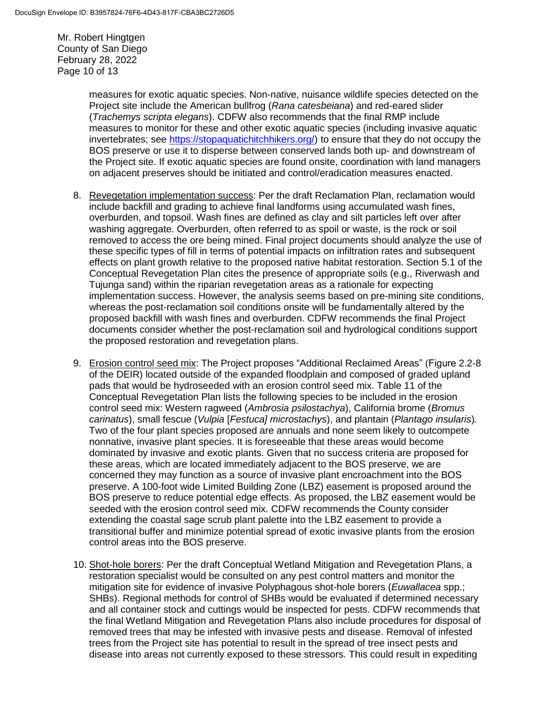Mr. Robert Hingtgen County of San Diego February 28, 2022 Page 10 of 13

> measures for exotic aquatic species. Non-native, nuisance wildlife species detected on the Project site include the American bullfrog (*Rana catesbeiana*) and red-eared slider (*Trachemys scripta elegans*). CDFW also recommends that the final RMP include measures to monitor for these and other exotic aquatic species (including invasive aquatic invertebrates; see [https://stopaquatichitchhikers.org/\)](https://stopaquatichitchhikers.org/) to ensure that they do not occupy the BOS preserve or use it to disperse between conserved lands both up- and downstream of the Project site. If exotic aquatic species are found onsite, coordination with land managers on adjacent preserves should be initiated and control/eradication measures enacted.

- 8. Revegetation implementation success: Per the draft Reclamation Plan, reclamation would include backfill and grading to achieve final landforms using accumulated wash fines, overburden, and topsoil. Wash fines are defined as clay and silt particles left over after washing aggregate. Overburden, often referred to as spoil or waste, is the rock or soil removed to access the ore being mined. Final project documents should analyze the use of these specific types of fill in terms of potential impacts on infiltration rates and subsequent effects on plant growth relative to the proposed native habitat restoration. Section 5.1 of the Conceptual Revegetation Plan cites the presence of appropriate soils (e.g., Riverwash and Tujunga sand) within the riparian revegetation areas as a rationale for expecting implementation success. However, the analysis seems based on pre-mining site conditions, whereas the post-reclamation soil conditions onsite will be fundamentally altered by the proposed backfill with wash fines and overburden. CDFW recommends the final Project documents consider whether the post-reclamation soil and hydrological conditions support the proposed restoration and revegetation plans.
- 9. Erosion control seed mix: The Project proposes "Additional Reclaimed Areas" (Figure 2.2-8 of the DEIR) located outside of the expanded floodplain and composed of graded upland pads that would be hydroseeded with an erosion control seed mix. Table 11 of the Conceptual Revegetation Plan lists the following species to be included in the erosion control seed mix: Western ragweed (*Ambrosia psilostachya*), California brome (*Bromus carinatus*), small fescue (*Vulpia* [*Festuca] microstachys*), and plantain (*Plantago insularis*)*.*  Two of the four plant species proposed are annuals and none seem likely to outcompete nonnative, invasive plant species. It is foreseeable that these areas would become dominated by invasive and exotic plants. Given that no success criteria are proposed for these areas, which are located immediately adjacent to the BOS preserve, we are concerned they may function as a source of invasive plant encroachment into the BOS preserve. A 100-foot wide Limited Building Zone (LBZ) easement is proposed around the BOS preserve to reduce potential edge effects. As proposed, the LBZ easement would be seeded with the erosion control seed mix. CDFW recommends the County consider extending the coastal sage scrub plant palette into the LBZ easement to provide a transitional buffer and minimize potential spread of exotic invasive plants from the erosion control areas into the BOS preserve.
- 10. Shot-hole borers: Per the draft Conceptual Wetland Mitigation and Revegetation Plans, a restoration specialist would be consulted on any pest control matters and monitor the mitigation site for evidence of invasive Polyphagous shot-hole borers (*Euwallacea* spp.; SHBs). Regional methods for control of SHBs would be evaluated if determined necessary and all container stock and cuttings would be inspected for pests. CDFW recommends that the final Wetland Mitigation and Revegetation Plans also include procedures for disposal of removed trees that may be infested with invasive pests and disease. Removal of infested trees from the Project site has potential to result in the spread of tree insect pests and disease into areas not currently exposed to these stressors. This could result in expediting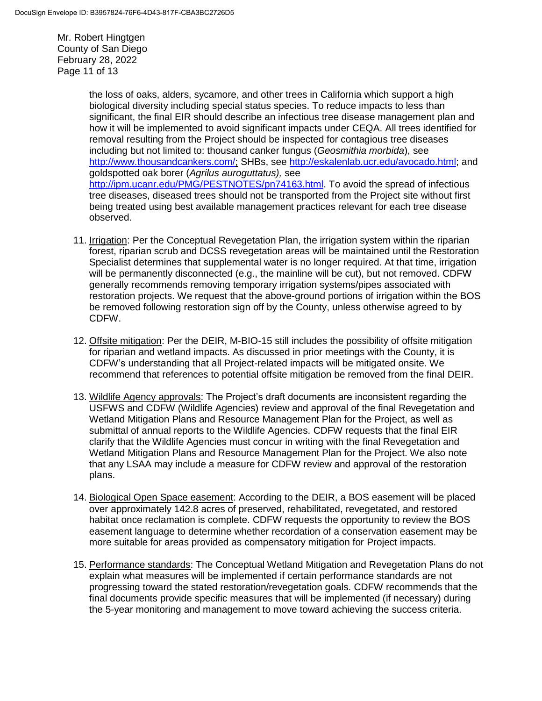Mr. Robert Hingtgen County of San Diego February 28, 2022 Page 11 of 13

> the loss of oaks, alders, sycamore, and other trees in California which support a high biological diversity including special status species. To reduce impacts to less than significant, the final EIR should describe an infectious tree disease management plan and how it will be implemented to avoid significant impacts under CEQA. All trees identified for removal resulting from the Project should be inspected for contagious tree diseases including but not limited to: thousand canker fungus (*Geosmithia morbida*), see <http://www.thousandcankers.com/;> SHBs, see [http://eskalenlab.ucr.edu/avocado.html;](http://eskalenlab.ucr.edu/avocado.html) and goldspotted oak borer (*Agrilus auroguttatus),* see [http://ipm.ucanr.edu/PMG/PESTNOTES/pn74163.html.](http://ipm.ucanr.edu/PMG/PESTNOTES/pn74163.html) To avoid the spread of infectious tree diseases, diseased trees should not be transported from the Project site without first being treated using best available management practices relevant for each tree disease observed.

- 11. Irrigation: Per the Conceptual Revegetation Plan, the irrigation system within the riparian forest, riparian scrub and DCSS revegetation areas will be maintained until the Restoration Specialist determines that supplemental water is no longer required. At that time, irrigation will be permanently disconnected (e.g., the mainline will be cut), but not removed. CDFW generally recommends removing temporary irrigation systems/pipes associated with restoration projects. We request that the above-ground portions of irrigation within the BOS be removed following restoration sign off by the County, unless otherwise agreed to by CDFW.
- 12. Offsite mitigation: Per the DEIR, M-BIO-15 still includes the possibility of offsite mitigation for riparian and wetland impacts. As discussed in prior meetings with the County, it is CDFW's understanding that all Project-related impacts will be mitigated onsite. We recommend that references to potential offsite mitigation be removed from the final DEIR.
- 13. Wildlife Agency approvals: The Project's draft documents are inconsistent regarding the USFWS and CDFW (Wildlife Agencies) review and approval of the final Revegetation and Wetland Mitigation Plans and Resource Management Plan for the Project, as well as submittal of annual reports to the Wildlife Agencies. CDFW requests that the final EIR clarify that the Wildlife Agencies must concur in writing with the final Revegetation and Wetland Mitigation Plans and Resource Management Plan for the Project. We also note that any LSAA may include a measure for CDFW review and approval of the restoration plans.
- 14. Biological Open Space easement: According to the DEIR, a BOS easement will be placed over approximately 142.8 acres of preserved, rehabilitated, revegetated, and restored habitat once reclamation is complete. CDFW requests the opportunity to review the BOS easement language to determine whether recordation of a conservation easement may be more suitable for areas provided as compensatory mitigation for Project impacts.
- 15. Performance standards: The Conceptual Wetland Mitigation and Revegetation Plans do not explain what measures will be implemented if certain performance standards are not progressing toward the stated restoration/revegetation goals. CDFW recommends that the final documents provide specific measures that will be implemented (if necessary) during the 5-year monitoring and management to move toward achieving the success criteria.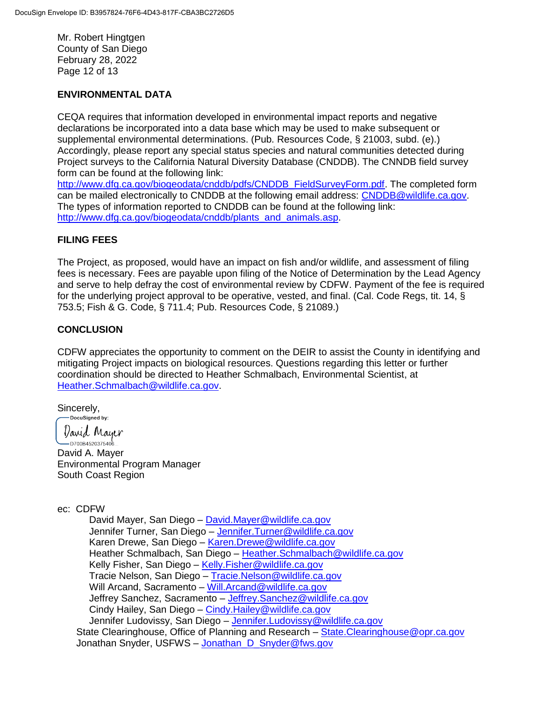Mr. Robert Hingtgen County of San Diego February 28, 2022 Page 12 of 13

### **ENVIRONMENTAL DATA**

CEQA requires that information developed in environmental impact reports and negative declarations be incorporated into a data base which may be used to make subsequent or supplemental environmental determinations. (Pub. Resources Code, § 21003, subd. (e).) Accordingly, please report any special status species and natural communities detected during Project surveys to the California Natural Diversity Database (CNDDB). The CNNDB field survey form can be found at the following link:

[http://www.dfg.ca.gov/biogeodata/cnddb/pdfs/CNDDB\\_FieldSurveyForm.pdf.](http://www.dfg.ca.gov/biogeodata/cnddb/pdfs/CNDDB_FieldSurveyForm.pdf) The completed form can be mailed electronically to CNDDB at the following email address: [CNDDB@wildlife.ca.gov.](mailto:cnddb@dfg.ca.gov) The types of information reported to CNDDB can be found at the following link: [http://www.dfg.ca.gov/biogeodata/cnddb/plants\\_and\\_animals.asp.](http://www.dfg.ca.gov/biogeodata/cnddb/plants_and_animals.asp)

#### **FILING FEES**

The Project, as proposed, would have an impact on fish and/or wildlife, and assessment of filing fees is necessary. Fees are payable upon filing of the Notice of Determination by the Lead Agency and serve to help defray the cost of environmental review by CDFW. Payment of the fee is required for the underlying project approval to be operative, vested, and final. (Cal. Code Regs, tit. 14, § 753.5; Fish & G. Code, § 711.4; Pub. Resources Code, § 21089.)

#### **CONCLUSION**

CDFW appreciates the opportunity to comment on the DEIR to assist the County in identifying and mitigating Project impacts on biological resources. Questions regarding this letter or further coordination should be directed to Heather Schmalbach, Environmental Scientist, at [Heather.Schmalbach@wildlife.ca.gov.](mailto:Heather.Schmalbach@wildlife.ca.gov)

Sincerely,<br>— Docusigned by:

*Varid* Mayer

 $-$ D700B4520375406... David A. Mayer Environmental Program Manager South Coast Region

### ec: CDFW

David Mayer, San Diego – [David.Mayer@wildlife.ca.gov](mailto:David.Mayer@wildlife.ca.gov) Jennifer Turner, San Diego – [Jennifer.Turner@wildlife.ca.gov](mailto:Jennifer.Turner@wildlife.ca.gov) Karen Drewe, San Diego – [Karen.Drewe@wildlife.ca.gov](mailto:Karen.Drewe@wildlife.ca.gov) Heather Schmalbach, San Diego – [Heather.Schmalbach@wildlife.ca.gov](mailto:Heather.Schmalbach@wildlife.ca.gov) Kelly Fisher, San Diego – [Kelly.Fisher@wildlife.ca.gov](https://cdfw-my.sharepoint.com/personal/heather_schmalbach_wildlife_ca_gov/Documents/Desktop/County/Cottonwood%20Sand%20Mine/Kelly.Fisher@wildlife.ca.gov) Tracie Nelson, San Diego - [Tracie.Nelson@wildlife.ca.gov](https://cdfw-my.sharepoint.com/personal/heather_schmalbach_wildlife_ca_gov/Documents/Desktop/County/Cottonwood%20Sand%20Mine/Tracie.Nelson@wildlife.ca.gov) Will Arcand, Sacramento – [Will.Arcand@wildlife.ca.gov](mailto:Will.Arcand@wildlife.ca.gov) Jeffrey Sanchez, Sacramento - Jeffrey. Sanchez@wildlife.ca.gov Cindy Hailey, San Diego – [Cindy.Hailey@wildlife.ca.gov](mailto:Cindy.Hailey@wildlife.ca.gov) Jennifer Ludovissy, San Diego – [Jennifer.Ludovissy@wildlife.ca.gov](mailto:Jennifer.Ludovissy@wildlife.ca.gov) State Clearinghouse, Office of Planning and Research – [State.Clearinghouse@opr.ca.gov](mailto:State.Clearinghouse@opr.ca.gov)  Jonathan Snyder, USFWS - Jonathan D Snyder@fws.gov